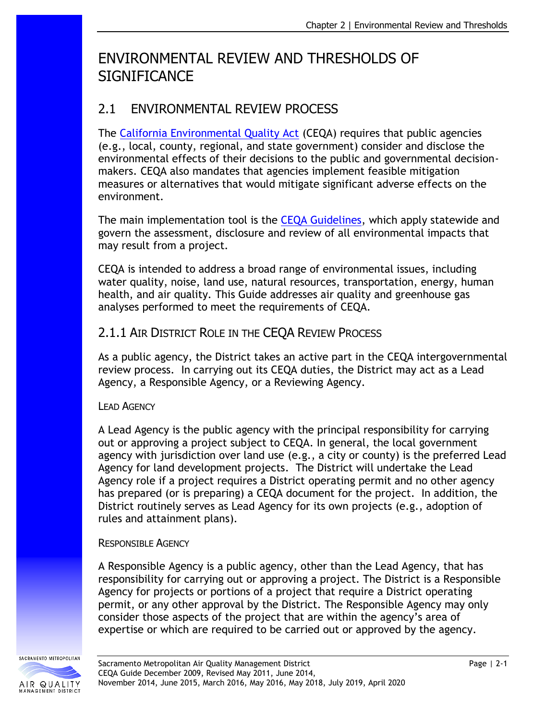# ENVIRONMENTAL REVIEW AND THRESHOLDS OF **SIGNIFICANCE**

## 2.1 ENVIRONMENTAL REVIEW PROCESS

The [California Environmental Quality Act](https://resources.ca.gov/About-Us/Legal/CEQA-Supplemental-Documents) (CEQA) requires that public agencies (e.g., local, county, regional, and state government) consider and disclose the environmental effects of their decisions to the public and governmental decisionmakers. CEQA also mandates that agencies implement feasible mitigation measures or alternatives that would mitigate significant adverse effects on the environment.

The main implementation tool is the [CEQA Guidelines,](https://resources.ca.gov/About-Us/Legal/CEQA-Supplemental-Documents) which apply statewide and govern the assessment, disclosure and review of all environmental impacts that may result from a project.

CEQA is intended to address a broad range of environmental issues, including water quality, noise, land use, natural resources, transportation, energy, human health, and air quality. This Guide addresses air quality and greenhouse gas analyses performed to meet the requirements of CEQA.

#### 2.1.1 AIR DISTRICT ROLE IN THE CEQA REVIEW PROCESS

As a public agency, the District takes an active part in the CEQA intergovernmental review process. In carrying out its CEQA duties, the District may act as a Lead Agency, a Responsible Agency, or a Reviewing Agency.

#### LEAD AGENCY

A Lead Agency is the public agency with the principal responsibility for carrying out or approving a project subject to CEQA. In general, the local government agency with jurisdiction over land use (e.g., a city or county) is the preferred Lead Agency for land development projects. The District will undertake the Lead Agency role if a project requires a District operating permit and no other agency has prepared (or is preparing) a CEQA document for the project. In addition, the District routinely serves as Lead Agency for its own projects (e.g., adoption of rules and attainment plans).

#### RESPONSIBLE AGENCY

A Responsible Agency is a public agency, other than the Lead Agency, that has responsibility for carrying out or approving a project. The District is a Responsible Agency for projects or portions of a project that require a District operating permit, or any other approval by the District. The Responsible Agency may only consider those aspects of the project that are within the agency's area of expertise or which are required to be carried out or approved by the agency.

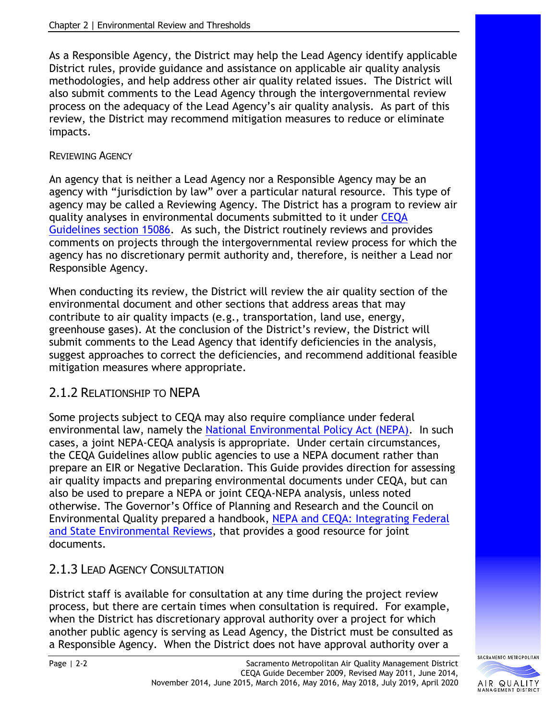As a Responsible Agency, the District may help the Lead Agency identify applicable District rules, provide guidance and assistance on applicable air quality analysis methodologies, and help address other air quality related issues. The District will also submit comments to the Lead Agency through the intergovernmental review process on the adequacy of the Lead Agency's air quality analysis. As part of this review, the District may recommend mitigation measures to reduce or eliminate impacts.

#### REVIEWING AGENCY

An agency that is neither a Lead Agency nor a Responsible Agency may be an agency with "jurisdiction by law" over a particular natural resource. This type of agency may be called a Reviewing Agency. The District has a program to review air quality analyses in environmental documents submitted to it under [CEQA](https://resources.ca.gov/About-Us/Legal/CEQA-Supplemental-Documents)  [Guidelines section 15086.](https://resources.ca.gov/About-Us/Legal/CEQA-Supplemental-Documents) As such, the District routinely reviews and provides comments on projects through the intergovernmental review process for which the agency has no discretionary permit authority and, therefore, is neither a Lead nor Responsible Agency.

When conducting its review, the District will review the air quality section of the environmental document and other sections that address areas that may contribute to air quality impacts (e.g., transportation, land use, energy, greenhouse gases). At the conclusion of the District's review, the District will submit comments to the Lead Agency that identify deficiencies in the analysis, suggest approaches to correct the deficiencies, and recommend additional feasible mitigation measures where appropriate.

### 2.1.2 RELATIONSHIP TO NEPA

Some projects subject to CEQA may also require compliance under federal environmental law, namely the [National Environmental Policy Act \(NEPA\).](https://www.epa.gov/nepa) In such cases, a joint NEPA-CEQA analysis is appropriate. Under certain circumstances, the CEQA Guidelines allow public agencies to use a NEPA document rather than prepare an EIR or Negative Declaration. This Guide provides direction for assessing air quality impacts and preparing environmental documents under CEQA, but can also be used to prepare a NEPA or joint CEQA-NEPA analysis, unless noted otherwise. The Governor's Office of Planning and Research and the Council on Environmental Quality prepared a handbook, [NEPA and CEQA: Integrating Federal](http://opr.ca.gov/docs/NEPA_CEQA_Handbook_Feb2014.pdf)  [and State Environmental Reviews,](http://opr.ca.gov/docs/NEPA_CEQA_Handbook_Feb2014.pdf) that provides a good resource for joint documents.

### 2.1.3 LEAD AGENCY CONSULTATION

District staff is available for consultation at any time during the project review process, but there are certain times when consultation is required. For example, when the District has discretionary approval authority over a project for which another public agency is serving as Lead Agency, the District must be consulted as a Responsible Agency. When the District does not have approval authority over a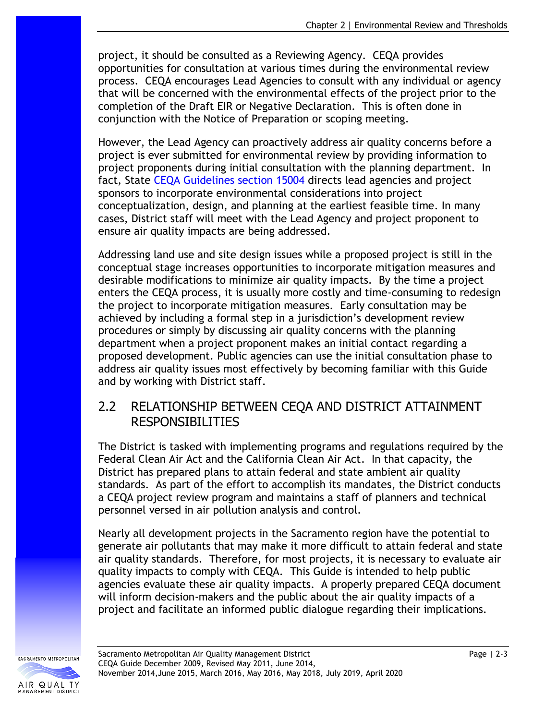project, it should be consulted as a Reviewing Agency. CEQA provides opportunities for consultation at various times during the environmental review process. CEQA encourages Lead Agencies to consult with any individual or agency that will be concerned with the environmental effects of the project prior to the completion of the Draft EIR or Negative Declaration. This is often done in conjunction with the Notice of Preparation or scoping meeting.

However, the Lead Agency can proactively address air quality concerns before a project is ever submitted for environmental review by providing information to project proponents during initial consultation with the planning department. In fact, State [CEQA Guidelines section 15004](https://resources.ca.gov/About-Us/Legal/CEQA-Supplemental-Documents) directs lead agencies and project sponsors to incorporate environmental considerations into project conceptualization, design, and planning at the earliest feasible time. In many cases, District staff will meet with the Lead Agency and project proponent to ensure air quality impacts are being addressed.

Addressing land use and site design issues while a proposed project is still in the conceptual stage increases opportunities to incorporate mitigation measures and desirable modifications to minimize air quality impacts. By the time a project enters the CEQA process, it is usually more costly and time-consuming to redesign the project to incorporate mitigation measures. Early consultation may be achieved by including a formal step in a jurisdiction's development review procedures or simply by discussing air quality concerns with the planning department when a project proponent makes an initial contact regarding a proposed development. Public agencies can use the initial consultation phase to address air quality issues most effectively by becoming familiar with this Guide and by working with District staff.

### 2.2 RELATIONSHIP BETWEEN CEQA AND DISTRICT ATTAINMENT RESPONSIBILITIES

The District is tasked with implementing programs and regulations required by the Federal Clean Air Act and the California Clean Air Act. In that capacity, the District has prepared plans to attain federal and state ambient air quality standards. As part of the effort to accomplish its mandates, the District conducts a CEQA project review program and maintains a staff of planners and technical personnel versed in air pollution analysis and control.

Nearly all development projects in the Sacramento region have the potential to generate air pollutants that may make it more difficult to attain federal and state air quality standards. Therefore, for most projects, it is necessary to evaluate air quality impacts to comply with CEQA. This Guide is intended to help public agencies evaluate these air quality impacts. A properly prepared CEQA document will inform decision-makers and the public about the air quality impacts of a project and facilitate an informed public dialogue regarding their implications.

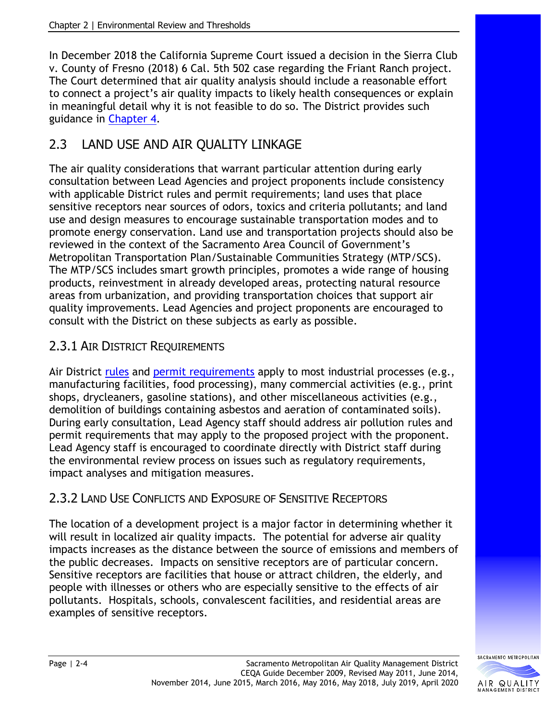In December 2018 the California Supreme Court issued a decision in the Sierra Club v. County of Fresno (2018) 6 Cal. 5th 502 case regarding the Friant Ranch project. The Court determined that air quality analysis should include a reasonable effort to connect a project's air quality impacts to likely health consequences or explain in meaningful detail why it is not feasible to do so. The District provides such guidance in [Chapter 4.](http://www.airquality.org/Businesses/CEQA-Land-Use-Planning/CEQA-Guidance-Tools)

# 2.3 LAND USE AND AIR QUALITY LINKAGE

The air quality considerations that warrant particular attention during early consultation between Lead Agencies and project proponents include consistency with applicable District rules and permit requirements; land uses that place sensitive receptors near sources of odors, toxics and criteria pollutants; and land use and design measures to encourage sustainable transportation modes and to promote energy conservation. Land use and transportation projects should also be reviewed in the context of the Sacramento Area Council of Government's Metropolitan Transportation Plan/Sustainable Communities Strategy (MTP/SCS). The MTP/SCS includes smart growth principles, promotes a wide range of housing products, reinvestment in already developed areas, protecting natural resource areas from urbanization, and providing transportation choices that support air quality improvements. Lead Agencies and project proponents are encouraged to consult with the District on these subjects as early as possible.

### 2.3.1 AIR DISTRICT REQUIREMENTS

Air District [rules](http://www.airquality.org/Businesses/Rules-Regulations) and [permit requirements](http://www.airquality.org/businesses/permits-registration-programs) apply to most industrial processes (e.g., manufacturing facilities, food processing), many commercial activities (e.g., print shops, drycleaners, gasoline stations), and other miscellaneous activities (e.g., demolition of buildings containing asbestos and aeration of contaminated soils). During early consultation, Lead Agency staff should address air pollution rules and permit requirements that may apply to the proposed project with the proponent. Lead Agency staff is encouraged to coordinate directly with District staff during the environmental review process on issues such as regulatory requirements, impact analyses and mitigation measures.

## 2.3.2 LAND USE CONFLICTS AND EXPOSURE OF SENSITIVE RECEPTORS

The location of a development project is a major factor in determining whether it will result in localized air quality impacts. The potential for adverse air quality impacts increases as the distance between the source of emissions and members of the public decreases. Impacts on sensitive receptors are of particular concern. Sensitive receptors are facilities that house or attract children, the elderly, and people with illnesses or others who are especially sensitive to the effects of air pollutants. Hospitals, schools, convalescent facilities, and residential areas are examples of sensitive receptors.

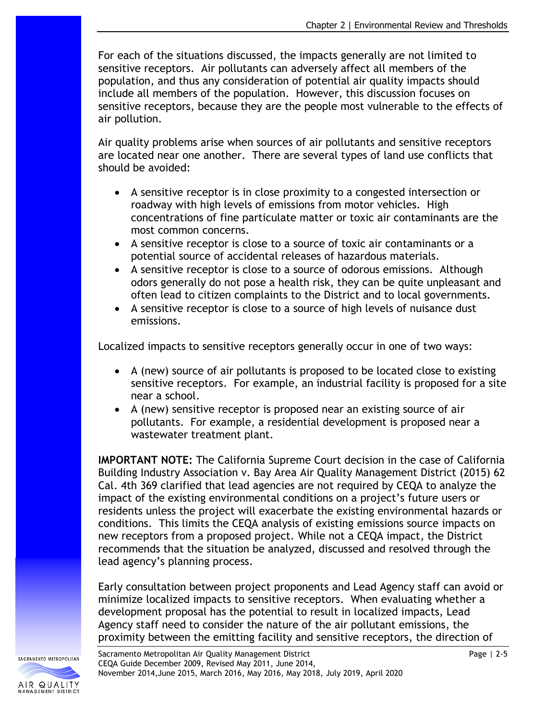For each of the situations discussed, the impacts generally are not limited to sensitive receptors. Air pollutants can adversely affect all members of the population, and thus any consideration of potential air quality impacts should include all members of the population. However, this discussion focuses on sensitive receptors, because they are the people most vulnerable to the effects of air pollution.

Air quality problems arise when sources of air pollutants and sensitive receptors are located near one another. There are several types of land use conflicts that should be avoided:

- A sensitive receptor is in close proximity to a congested intersection or roadway with high levels of emissions from motor vehicles. High concentrations of fine particulate matter or toxic air contaminants are the most common concerns.
- A sensitive receptor is close to a source of toxic air contaminants or a potential source of accidental releases of hazardous materials.
- A sensitive receptor is close to a source of odorous emissions. Although odors generally do not pose a health risk, they can be quite unpleasant and often lead to citizen complaints to the District and to local governments.
- A sensitive receptor is close to a source of high levels of nuisance dust emissions.

Localized impacts to sensitive receptors generally occur in one of two ways:

- A (new) source of air pollutants is proposed to be located close to existing sensitive receptors. For example, an industrial facility is proposed for a site near a school.
- A (new) sensitive receptor is proposed near an existing source of air pollutants. For example, a residential development is proposed near a wastewater treatment plant.

**IMPORTANT NOTE:** The California Supreme Court decision in the case of California Building Industry Association v. Bay Area Air Quality Management District (2015) 62 Cal. 4th 369 clarified that lead agencies are not required by CEQA to analyze the impact of the existing environmental conditions on a project's future users or residents unless the project will exacerbate the existing environmental hazards or conditions. This limits the CEQA analysis of existing emissions source impacts on new receptors from a proposed project. While not a CEQA impact, the District recommends that the situation be analyzed, discussed and resolved through the lead agency's planning process.

Early consultation between project proponents and Lead Agency staff can avoid or minimize localized impacts to sensitive receptors. When evaluating whether a development proposal has the potential to result in localized impacts, Lead Agency staff need to consider the nature of the air pollutant emissions, the proximity between the emitting facility and sensitive receptors, the direction of

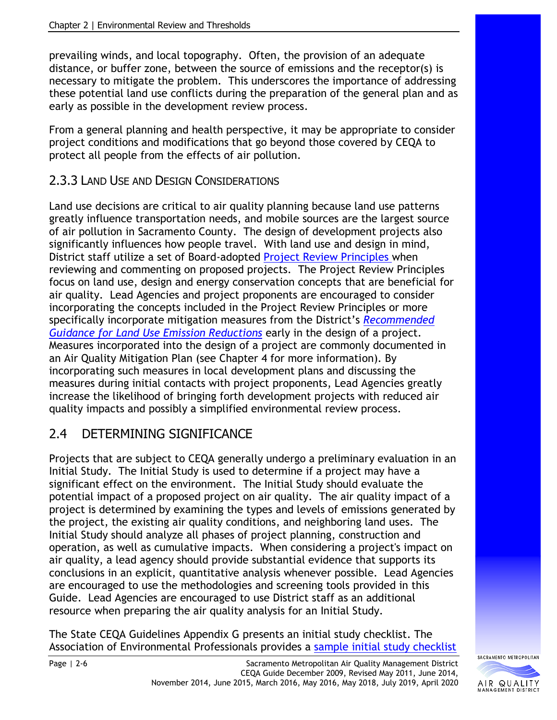prevailing winds, and local topography. Often, the provision of an adequate distance, or buffer zone, between the source of emissions and the receptor(s) is necessary to mitigate the problem. This underscores the importance of addressing these potential land use conflicts during the preparation of the general plan and as early as possible in the development review process.

From a general planning and health perspective, it may be appropriate to consider project conditions and modifications that go beyond those covered by CEQA to protect all people from the effects of air pollution.

#### 2.3.3 LAND USE AND DESIGN CONSIDERATIONS

Land use decisions are critical to air quality planning because land use patterns greatly influence transportation needs, and mobile sources are the largest source of air pollution in Sacramento County. The design of development projects also significantly influences how people travel. With land use and design in mind, District staff utilize a set of Board-adopted [Project Review Principles w](http://www.airquality.org/Businesses/CEQA-Land-Use-Planning)hen reviewing and commenting on proposed projects. The Project Review Principles focus on land use, design and energy conservation concepts that are beneficial for air quality. Lead Agencies and project proponents are encouraged to consider incorporating the concepts included in the Project Review Principles or more specifically incorporate mitigation measures from the District's *[Recommended](http://www.airquality.org/businesses/ceqa-land-use-planning/mitigation)  Guidance for [Land Use Emission Reductions](http://www.airquality.org/businesses/ceqa-land-use-planning/mitigation)* early in the design of a project. Measures incorporated into the design of a project are commonly documented in an Air Quality Mitigation Plan (see Chapter 4 for more information). By incorporating such measures in local development plans and discussing the measures during initial contacts with project proponents, Lead Agencies greatly increase the likelihood of bringing forth development projects with reduced air quality impacts and possibly a simplified environmental review process.

## 2.4 DETERMINING SIGNIFICANCE

Projects that are subject to CEQA generally undergo a preliminary evaluation in an Initial Study. The Initial Study is used to determine if a project may have a significant effect on the environment. The Initial Study should evaluate the potential impact of a proposed project on air quality. The air quality impact of a project is determined by examining the types and levels of emissions generated by the project, the existing air quality conditions, and neighboring land uses. The Initial Study should analyze all phases of project planning, construction and operation, as well as cumulative impacts. When considering a project's impact on air quality, a lead agency should provide substantial evidence that supports its conclusions in an explicit, quantitative analysis whenever possible. Lead Agencies are encouraged to use the methodologies and screening tools provided in this Guide. Lead Agencies are encouraged to use District staff as an additional resource when preparing the air quality analysis for an Initial Study.

The State CEQA Guidelines Appendix G presents an initial study checklist. The Association of Environmental Professionals provides a sample [initial study checklist](http://califaep.org/docs/2019-Appendix_G_Checklist.pdf)

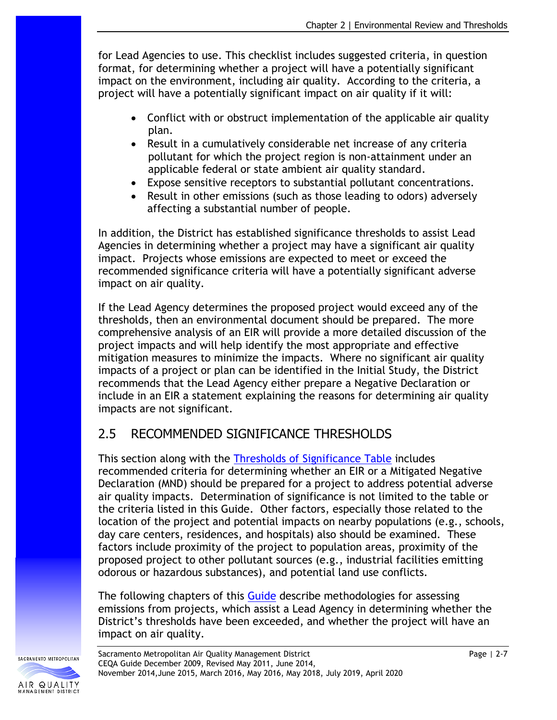for Lead Agencies to use. This checklist includes suggested criteria, in question format, for determining whether a project will have a potentially significant impact on the environment, including air quality. According to the criteria, a project will have a potentially significant impact on air quality if it will:

- Conflict with or obstruct implementation of the applicable air quality plan.
- Result in a cumulatively considerable net increase of any criteria pollutant for which the project region is non-attainment under an applicable federal or state ambient air quality standard.
- Expose sensitive receptors to substantial pollutant concentrations.
- Result in other emissions (such as those leading to odors) adversely affecting a substantial number of people.

In addition, the District has established significance thresholds to assist Lead Agencies in determining whether a project may have a significant air quality impact. Projects whose emissions are expected to meet or exceed the recommended significance criteria will have a potentially significant adverse impact on air quality.

If the Lead Agency determines the proposed project would exceed any of the thresholds, then an environmental document should be prepared. The more comprehensive analysis of an EIR will provide a more detailed discussion of the project impacts and will help identify the most appropriate and effective mitigation measures to minimize the impacts. Where no significant air quality impacts of a project or plan can be identified in the Initial Study, the District recommends that the Lead Agency either prepare a Negative Declaration or include in an EIR a statement explaining the reasons for determining air quality impacts are not significant.

# 2.5 RECOMMENDED SIGNIFICANCE THRESHOLDS

This section along with the [Thresholds of Significance Table](http://www.airquality.org/Businesses/CEQA-Land-Use-Planning/CEQA-Guidance-Tools) includes recommended criteria for determining whether an EIR or a Mitigated Negative Declaration (MND) should be prepared for a project to address potential adverse air quality impacts. Determination of significance is not limited to the table or the criteria listed in this Guide. Other factors, especially those related to the location of the project and potential impacts on nearby populations (e.g., schools, day care centers, residences, and hospitals) also should be examined. These factors include proximity of the project to population areas, proximity of the proposed project to other pollutant sources (e.g., industrial facilities emitting odorous or hazardous substances), and potential land use conflicts.

The following chapters of this [Guide](http://www.airquality.org/Businesses/CEQA-Land-Use-Planning/CEQA-Guidance-Tools) describe methodologies for assessing emissions from projects, which assist a Lead Agency in determining whether the District's thresholds have been exceeded, and whether the project will have an impact on air quality.

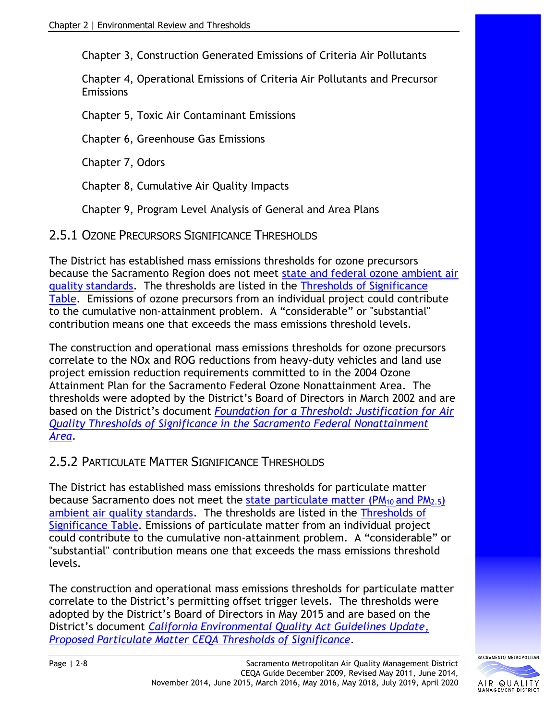Chapter 3, Construction Generated Emissions of Criteria Air Pollutants

Chapter 4, Operational Emissions of Criteria Air Pollutants and Precursor Emissions

Chapter 5, Toxic Air Contaminant Emissions

Chapter 6, Greenhouse Gas Emissions

Chapter 7, Odors

Chapter 8, Cumulative Air Quality Impacts

Chapter 9, Program Level Analysis of General and Area Plans

2.5.1 OZONE PRECURSORS SIGNIFICANCE THRESHOLDS

The District has established mass emissions thresholds for ozone precursors because the Sacramento Region does not meet state and federal [ozone ambient air](http://www.arb.ca.gov/research/aaqs/aaqs2.pdf)  [quality standards.](http://www.arb.ca.gov/research/aaqs/aaqs2.pdf) The thresholds are listed in the [Thresholds of Significance](http://www.airquality.org/Businesses/CEQA-Land-Use-Planning/CEQA-Guidance-Tools)  [Table.](http://www.airquality.org/Businesses/CEQA-Land-Use-Planning/CEQA-Guidance-Tools) Emissions of ozone precursors from an individual project could contribute to the cumulative non-attainment problem. A "considerable" or "substantial" contribution means one that exceeds the mass emissions threshold levels.

The construction and operational mass emissions thresholds for ozone precursors correlate to the NOx and ROG reductions from heavy-duty vehicles and land use project emission reduction requirements committed to in the 2004 Ozone Attainment Plan for the Sacramento Federal Ozone Nonattainment Area. The thresholds were adopted by the District's Board of Directors in March 2002 and are based on the District's document *[Foundation for a Threshold: Justification for Air](http://www.airquality.org/LandUseTransportation/Documents/CEQAThresholdJustificationOperationalFinal.pdf)  [Quality Thresholds of Significance in the Sacramento Federal Nonattainment](http://www.airquality.org/LandUseTransportation/Documents/CEQAThresholdJustificationOperationalFinal.pdf)  [Area](http://www.airquality.org/LandUseTransportation/Documents/CEQAThresholdJustificationOperationalFinal.pdf)*.

### 2.5.2 PARTICULATE MATTER SIGNIFICANCE THRESHOLDS

The District has established mass emissions thresholds for particulate matter because Sacramento does not meet the state particulate matter ( $PM_{10}$  and  $PM_{2.5}$ ) [ambient air quality standards.](http://www.arb.ca.gov/research/aaqs/aaqs2.pdf) The thresholds are listed in the [Thresholds of](http://www.airquality.org/Businesses/CEQA-Land-Use-Planning/CEQA-Guidance-Tools)  [Significance Table.](http://www.airquality.org/Businesses/CEQA-Land-Use-Planning/CEQA-Guidance-Tools) Emissions of particulate matter from an individual project could contribute to the cumulative non-attainment problem. A "considerable" or "substantial" contribution means one that exceeds the mass emissions threshold levels.

The construction and operational mass emissions thresholds for particulate matter correlate to the District's permitting offset trigger levels. The thresholds were adopted by the District's Board of Directors in May 2015 and are based on the District's document *[California Environmental Quality Act Guidelines Update,](http://www.airquality.org/LandUseTransportation/Documents/ParticulateMatterThresholdsUpdateMay2015AgendaItemAttachment.pdf)  [Proposed Particulate Matter CEQA Thresholds of Significance.](http://www.airquality.org/LandUseTransportation/Documents/ParticulateMatterThresholdsUpdateMay2015AgendaItemAttachment.pdf)*

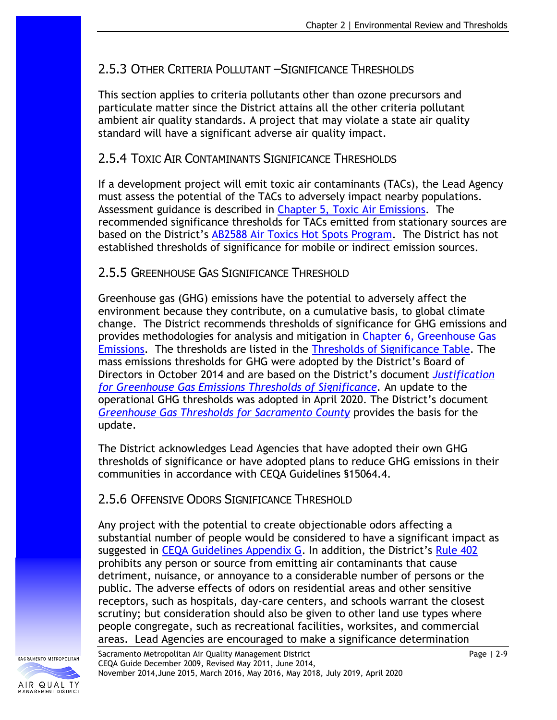### 2.5.3 OTHER CRITERIA POLLUTANT – SIGNIFICANCE THRESHOLDS

This section applies to criteria pollutants other than ozone precursors and particulate matter since the District attains all the other criteria pollutant ambient air quality standards. A project that may violate a state air quality standard will have a significant adverse air quality impact.

### 2.5.4 TOXIC AIR CONTAMINANTS SIGNIFICANCE THRESHOLDS

If a development project will emit toxic air contaminants (TACs), the Lead Agency must assess the potential of the TACs to adversely impact nearby populations. Assessment guidance is described in [Chapter 5, Toxic Air Emissions.](http://www.airquality.org/Businesses/CEQA-Land-Use-Planning/CEQA-Guidance-Tools) The recommended significance thresholds for TACs emitted from stationary sources are based on the District's [AB2588 Air Toxics Hot Spots Program.](http://www.airquality.org/businesses/permits-registration-programs/toxics) The District has not established thresholds of significance for mobile or indirect emission sources.

#### 2.5.5 GREENHOUSE GAS SIGNIFICANCE THRESHOLD

Greenhouse gas (GHG) emissions have the potential to adversely affect the environment because they contribute, on a cumulative basis, to global climate change. The District recommends thresholds of significance for GHG emissions and provides methodologies for analysis and mitigation in [Chapter 6, Greenhouse Gas](http://www.airquality.org/Businesses/CEQA-Land-Use-Planning/CEQA-Guidance-Tools)  [Emissions.](http://www.airquality.org/Businesses/CEQA-Land-Use-Planning/CEQA-Guidance-Tools) The thresholds are listed in the [Thresholds of Significance Table.](http://www.airquality.org/Businesses/CEQA-Land-Use-Planning/CEQA-Guidance-Tools) The mass emissions thresholds for GHG were adopted by the District's Board of Directors in October 2014 and are based on the District's document *[Justification](http://www.airquality.org/LandUseTransportation/Documents/GHGThresholdsJustificationSept2014.pdf)  [for Greenhouse Gas Emissions Thresholds of Significance.](http://www.airquality.org/LandUseTransportation/Documents/GHGThresholdsJustificationSept2014.pdf)* An update to the operational GHG thresholds was adopted in April 2020. The District's document *Greenhouse [Gas Thresholds for Sacramento County](http://www.airquality.org/LandUseTransportation/Documents/SMAQMDGHGThresholds2020-03-04v2.pdf)* provides the basis for the update.

The District acknowledges Lead Agencies that have adopted their own GHG thresholds of significance or have adopted plans to reduce GHG emissions in their communities in accordance with CEQA Guidelines §15064.4.

### 2.5.6 OFFENSIVE ODORS SIGNIFICANCE THRESHOLD

Any project with the potential to create objectionable odors affecting a substantial number of people would be considered to have a significant impact as suggested in [CEQA Guidelines](http://califaep.org/docs/2019-Appendix_G_Checklist.pdf) Appendix G. In addition, the District's [Rule 402](http://www.airquality.org/Businesses/Rules-Regulations) prohibits any person or source from emitting air contaminants that cause detriment, nuisance, or annoyance to a considerable number of persons or the public. The adverse effects of odors on residential areas and other sensitive receptors, such as hospitals, day-care centers, and schools warrant the closest scrutiny; but consideration should also be given to other land use types where people congregate, such as recreational facilities, worksites, and commercial areas. Lead Agencies are encouraged to make a significance determination